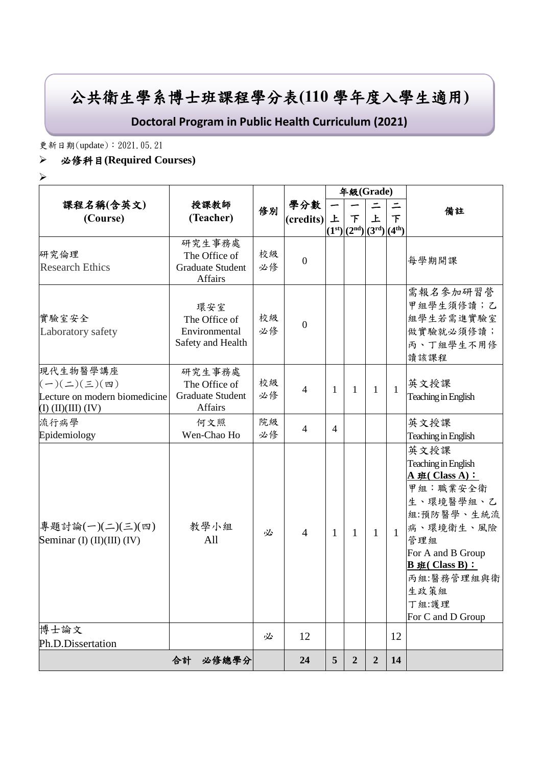# 公共衛生學系博士班課程學分表**(110** 學年度入學生適用**)**

**Doctoral Program in Public Health Curriculum (2021)**

更新日期(update):2021.05.21

### ➢ 必修科目**(Required Courses)**

➢

|                                                                                                          | 授課教師                                                          | 修別       |                  |                         | 年級(Grade)              |                          |              |                                                                                                                                                                                                             |
|----------------------------------------------------------------------------------------------------------|---------------------------------------------------------------|----------|------------------|-------------------------|------------------------|--------------------------|--------------|-------------------------------------------------------------------------------------------------------------------------------------------------------------------------------------------------------------|
| 課程名稱(含英文)                                                                                                |                                                               |          | 學分數<br>(credits) |                         |                        | $\overline{\phantom{0}}$ |              | 備註                                                                                                                                                                                                          |
| (Course)                                                                                                 | (Teacher)                                                     |          |                  | 上<br>(1 <sup>st</sup> ) | 下<br>$(2nd)[3rd][4th)$ | 上                        | 下            |                                                                                                                                                                                                             |
| 研究倫理<br><b>Research Ethics</b>                                                                           | 研究生事務處<br>The Office of<br><b>Graduate Student</b><br>Affairs | 校級<br>必修 | $\boldsymbol{0}$ |                         |                        |                          |              | 每學期開課                                                                                                                                                                                                       |
| 實驗室安全<br>Laboratory safety                                                                               | 環安室<br>The Office of<br>Environmental<br>Safety and Health    | 校級<br>必修 | $\boldsymbol{0}$ |                         |                        |                          |              | 需報名參加研習營<br>甲組學生須修讀;乙<br>組學生若需進實驗室<br>做實驗就必須修讀;<br>丙、丁組學生不用修<br>讀該課程                                                                                                                                        |
| 現代生物醫學講座<br>$(-)(\leq)(\leq)(\mathfrak{m})$<br>Lecture on modern biomedicine<br>$(I)$ $(II)(III)$ $(IV)$ | 研究生事務處<br>The Office of<br><b>Graduate Student</b><br>Affairs | 校級<br>必修 | $\overline{4}$   | 1                       | 1                      | $\mathbf{1}$             | $\mathbf{1}$ | 英文授課<br>Teaching in English                                                                                                                                                                                 |
| 流行病學<br>Epidemiology                                                                                     | 何文照<br>Wen-Chao Ho                                            | 院級<br>必修 | $\overline{4}$   | $\overline{4}$          |                        |                          |              | 英文授課<br>Teaching in English                                                                                                                                                                                 |
| 專題討論(一)(二)(三)(四)<br>Seminar (I) (II)(III) (IV)                                                           | 教學小組<br>All                                                   | 必        | $\overline{4}$   | 1                       | 1                      | $\mathbf{1}$             | $\mathbf{1}$ | 英文授課<br>Teaching in English<br>$A \# (Class A):$<br>甲組:職業安全衛<br>生、環境醫學組、乙<br>組:預防醫學、生統流<br>病、環境衛生、風險<br>管理組<br>For A and B Group<br>$B \# ( Class B) :$<br>丙組:醫務管理組與衛<br>生政策組<br>丁組:護理<br>For C and D Group |
| 博士論文<br>Ph.D.Dissertation                                                                                |                                                               | 必        | 12               |                         |                        |                          | 12           |                                                                                                                                                                                                             |
|                                                                                                          | 合計<br>必修總學分                                                   |          | 24               | $5\overline{)}$         | $\boldsymbol{2}$       | $\boldsymbol{2}$         | 14           |                                                                                                                                                                                                             |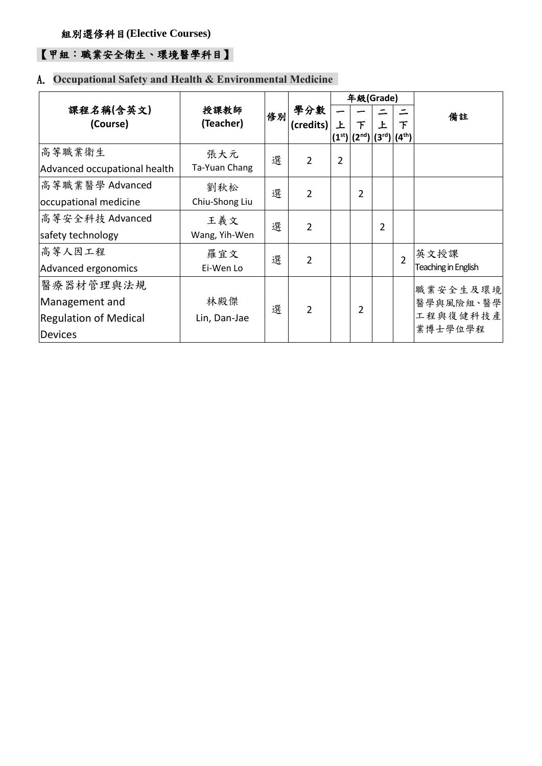### 【甲組:職業安全衛生、環境醫學科目】

### A. **Occupational Safety and Health & Environmental Medicine**

|                                                                        |                       |    |                  | 年級(Grade)      |                                             |                |                |                                              |
|------------------------------------------------------------------------|-----------------------|----|------------------|----------------|---------------------------------------------|----------------|----------------|----------------------------------------------|
| 課程名稱(含英文)<br>(Course)                                                  | 授課教師<br>(Teacher)     | 修別 | 學分數<br>(credits) | 上              | 下<br>$ (1^{st}) (2^{nd}) (3^{rd}) (4^{th})$ | Ŀ              | 下              | 備註                                           |
| 高等職業衛生<br>Advanced occupational health                                 | 張大元<br>Ta-Yuan Chang  | 選  | $\overline{2}$   | $\overline{2}$ |                                             |                |                |                                              |
| 高等職業醫學 Advanced<br>occupational medicine                               | 劉秋松<br>Chiu-Shong Liu | 選  | $\mathcal{P}$    |                | $\overline{2}$                              |                |                |                                              |
| 高等安全科技 Advanced<br>safety technology                                   | 王義文<br>Wang, Yih-Wen  | 選  | $\overline{2}$   |                |                                             | $\overline{2}$ |                |                                              |
| 高等人因工程<br>Advanced ergonomics                                          | 羅宜文<br>Ei-Wen Lo      | 選  | $\overline{2}$   |                |                                             |                | $\overline{2}$ | 英文授課<br>Teaching in English                  |
| 醫療器材管理與法規<br>Management and<br><b>Regulation of Medical</b><br>Devices | 林殿傑<br>Lin, Dan-Jae   | 選  | $\overline{2}$   |                | 2                                           |                |                | 職業安全生及環境<br>醫學與風險組、醫學<br>工程與復健科技產<br>業博士學位學程 |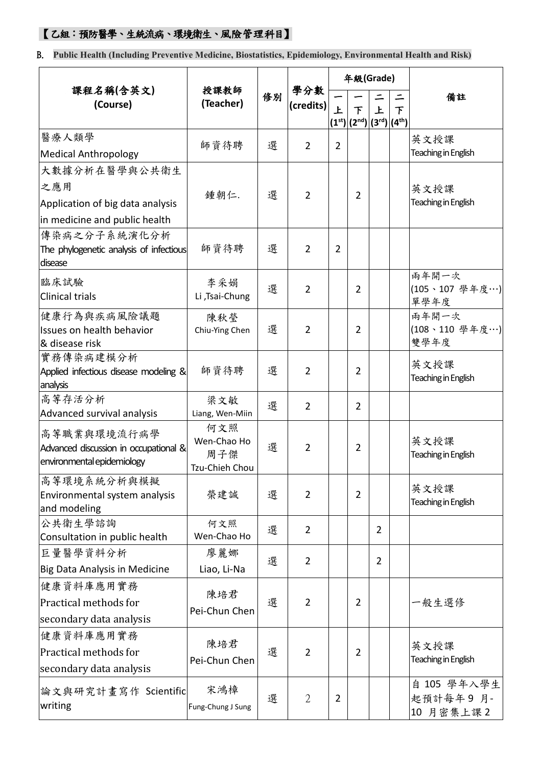### 【乙組:預防醫學、生統流病、環境衛生、風險管理科目】

B. **Public Health (Including Preventive Medicine, Biostatistics, Epidemiology, Environmental Health and Risk)**

|                                                    | 授課教師<br>(Teacher)  |                         |                               |                | 年級(Grade)                  |                           |        |                             |
|----------------------------------------------------|--------------------|-------------------------|-------------------------------|----------------|----------------------------|---------------------------|--------|-----------------------------|
| 課程名稱(含英文)<br>(Course)                              |                    | 修別                      | 學分數<br>(c <sub>redits</sub> ) |                |                            |                           | 二      | 備註                          |
|                                                    |                    |                         |                               | 上              | 下<br>$(1^{st})$ $(2^{nd})$ | 上<br>$ (3^{rd}) (4^{th})$ | $\tau$ |                             |
| 醫療人類學                                              |                    | 選                       |                               |                |                            |                           |        | 英文授課                        |
| <b>Medical Anthropology</b>                        | 師資待聘               |                         | $\overline{2}$                | $\overline{2}$ |                            |                           |        | Teaching in English         |
| 大數據分析在醫學與公共衛生                                      |                    |                         |                               |                |                            |                           |        |                             |
| 之應用                                                |                    | 選                       | $\overline{2}$                |                | $\overline{2}$             |                           |        | 英文授課                        |
| Application of big data analysis                   | 鍾朝仁.               |                         |                               |                |                            |                           |        | Teaching in English         |
| in medicine and public health                      |                    |                         |                               |                |                            |                           |        |                             |
| 傳染病之分子系統演化分析                                       |                    |                         |                               |                |                            |                           |        |                             |
| The phylogenetic analysis of infectious<br>disease | 師資待聘               | 選                       | $\overline{2}$                | 2              |                            |                           |        |                             |
| 臨床試驗                                               | 李采娟                | 選                       |                               |                |                            |                           |        | 兩年開一次                       |
| <b>Clinical trials</b>                             | Li ,Tsai-Chung     |                         | $\overline{2}$                |                | $\overline{2}$             |                           |        | (105、107 學年度…)<br>單學年度      |
| 健康行為與疾病風險議題                                        | 陳秋瑩                |                         |                               |                |                            |                           |        | 兩年開一次                       |
| Issues on health behavior                          | Chiu-Ying Chen     | 選                       | $\overline{2}$                |                | 2                          |                           |        | (108、110 學年度…)              |
| & disease risk                                     |                    |                         |                               |                |                            |                           |        | 雙學年度                        |
| 實務傳染病建模分析                                          | 師資待聘               | 選                       | $\overline{2}$                |                | $\overline{2}$             |                           |        | 英文授課                        |
| Applied infectious disease modeling &<br>analysis  |                    |                         |                               |                |                            |                           |        | Teaching in English         |
| 高等存活分析                                             | 梁文敏                | 選                       |                               |                |                            |                           |        |                             |
| Advanced survival analysis                         | Liang, Wen-Miin    |                         | $\overline{2}$                |                | $\overline{2}$             |                           |        |                             |
| 高等職業與環境流行病學                                        | 何文照                | Wen-Chao Ho<br>選<br>周子傑 | $\overline{2}$                |                |                            |                           |        |                             |
| Advanced discussion in occupational &              |                    |                         |                               |                | $\overline{2}$             |                           |        | 英文授課<br>Teaching in English |
| environmental epidemiology                         | Tzu-Chieh Chou     |                         |                               |                |                            |                           |        |                             |
| 高等環境系統分析與模擬                                        |                    |                         |                               |                |                            |                           |        | 英文授課                        |
| Environmental system analysis                      | 榮建誠                | 選                       | $\overline{2}$                |                | $\overline{2}$             |                           |        | Teaching in English         |
| and modeling                                       |                    |                         |                               |                |                            |                           |        |                             |
| 公共衛生學諮詢<br>Consultation in public health           | 何文照<br>Wen-Chao Ho | 選                       | $\overline{2}$                |                |                            | 2                         |        |                             |
| 巨量醫學資料分析                                           | 廖麗娜                |                         |                               |                |                            |                           |        |                             |
| Big Data Analysis in Medicine                      | Liao, Li-Na        | 選                       | $\overline{2}$                |                |                            | $\overline{2}$            |        |                             |
| 健康資料庫應用實務                                          |                    |                         |                               |                |                            |                           |        |                             |
| Practical methods for                              | 陳培君                | 選                       | $\overline{2}$                |                | 2                          |                           |        | 一般生選修                       |
| secondary data analysis                            | Pei-Chun Chen      |                         |                               |                |                            |                           |        |                             |
| 健康資料庫應用實務                                          |                    |                         |                               |                |                            |                           |        |                             |
| Practical methods for                              | 陳培君                | 選                       | $\overline{2}$                |                | $\overline{2}$             |                           |        | 英文授課                        |
| secondary data analysis                            | Pei-Chun Chen      |                         |                               |                |                            |                           |        | Teaching in English         |
|                                                    |                    |                         |                               |                |                            |                           |        | 自 105 學年入學生                 |
| 論文與研究計畫寫作 Scientific                               | 宋鴻樟                | 選                       | $\overline{2}$                | $\overline{2}$ |                            |                           |        | 起預計每年9月-                    |
| writing                                            | Fung-Chung J Sung  |                         |                               |                |                            |                           |        | 10 月密集上課2                   |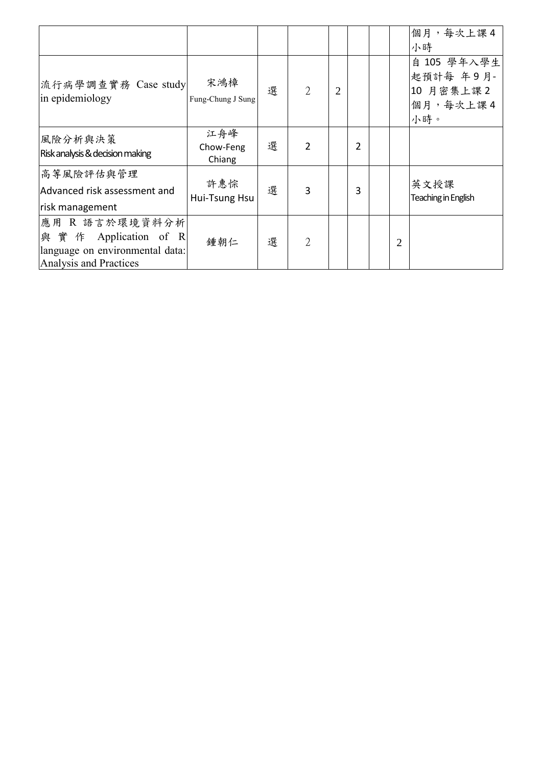|                                                                                                        |                            |   |                |                |   |                | 個月,每次上課4                                                 |
|--------------------------------------------------------------------------------------------------------|----------------------------|---|----------------|----------------|---|----------------|----------------------------------------------------------|
|                                                                                                        |                            |   |                |                |   |                | 小時                                                       |
| 流行病學調查實務 Case study<br>in epidemiology                                                                 | 宋鴻樟<br>Fung-Chung J Sung   | 選 | $\overline{2}$ | $\overline{2}$ |   |                | 自 105 學年入學生<br>起預計每 年9月-<br>10 月密集上課2<br>個月,每次上課4<br>小時。 |
| 風險分析與決策<br>Risk analysis & decision making                                                             | 江舟峰<br>Chow-Feng<br>Chiang | 選 | $\overline{2}$ |                | 2 |                |                                                          |
| 高等風險評估與管理<br>Advanced risk assessment and<br>risk management                                           | 許惠悰<br>Hui-Tsung Hsu       | 選 | $\overline{3}$ |                | 3 |                | 英文授課<br>Teaching in English                              |
| 應用 R 語言於環境資料分析<br> 與 實 作 Application of R<br>language on environmental data:<br>Analysis and Practices | 鍾朝仁                        | 選 | $\overline{2}$ |                |   | $\overline{2}$ |                                                          |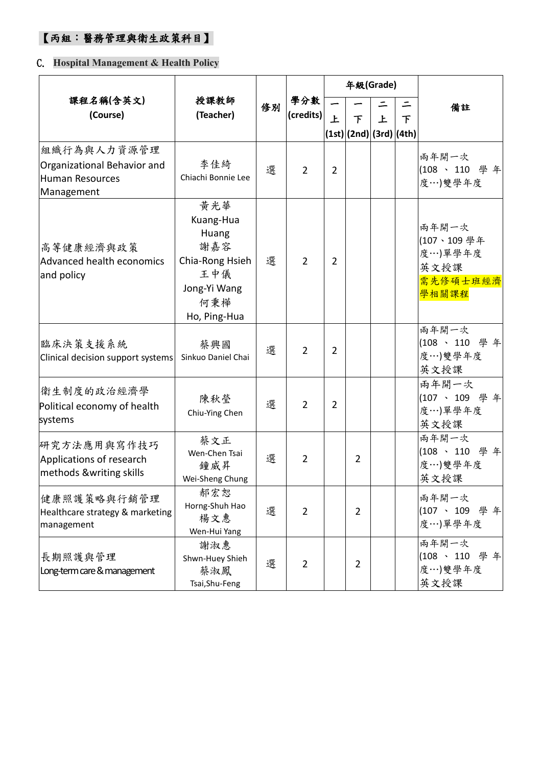## 【丙組:醫務管理與衛生政策科目】

### C. **Hospital Management & Health Policy**

|                                                                                    |                                                                                                   |    |                  |                | 年級(Grade)                    |   |               |                                                             |
|------------------------------------------------------------------------------------|---------------------------------------------------------------------------------------------------|----|------------------|----------------|------------------------------|---|---------------|-------------------------------------------------------------|
| 課程名稱(含英文)<br>(Course)                                                              | 授課教師<br>(Teacher)                                                                                 | 修別 | 學分數<br>(credits) | 上              | 下<br>(1st) (2nd) (3rd) (4th) | 上 | $\mathcal{F}$ | 備註                                                          |
| 組織行為與人力資源管理<br>Organizational Behavior and<br><b>Human Resources</b><br>Management | 李佳綺<br>Chiachi Bonnie Lee                                                                         | 選  | $\overline{2}$   | $\overline{2}$ |                              |   |               | 兩年開一次<br>(108、110 學年<br>度…)雙學年度                             |
| 高等健康經濟與政策<br>Advanced health economics<br>and policy                               | 黄光華<br>Kuang-Hua<br>Huang<br>謝嘉容<br>Chia-Rong Hsieh<br>王中儀<br>Jong-Yi Wang<br>何秉樺<br>Ho, Ping-Hua | 選  | $\overline{2}$   | $\overline{2}$ |                              |   |               | 兩年開一次<br>(107、109學年<br>度…)單學年度<br>英文授課<br>需先修碩士班經濟<br>學相關課程 |
| 臨床決策支援系統<br>Clinical decision support systems                                      | 蔡興國<br>Sinkuo Daniel Chai                                                                         | 選  | $\overline{2}$   | $\overline{2}$ |                              |   |               | 兩年開一次<br>(108、110 學年<br>度…)雙學年度<br>英文授課                     |
| 衛生制度的政治經濟學<br>Political economy of health<br>systems                               | 陳秋瑩<br>Chiu-Ying Chen                                                                             | 選  | $\overline{2}$   | $\overline{2}$ |                              |   |               | 兩年開一次<br>(107、109 學年<br>度…)單學年度<br>英文授課                     |
| 研究方法應用與寫作技巧<br>Applications of research<br>methods &writing skills                 | 蔡文正<br>Wen-Chen Tsai<br>鐘威昇<br>Wei-Sheng Chung                                                    | 選  | $\overline{2}$   |                | $\overline{2}$               |   |               | 兩年開一次<br>(108、110 學年<br>度…)雙學年度<br>英文授課                     |
| 健康照護策略與行銷管理<br>Healthcare strategy & marketing<br>management                       | 郝宏恕<br>Horng-Shuh Hao<br>楊文惠<br>Wen-Hui Yang                                                      | 選  | $\overline{2}$   |                | $\overline{2}$               |   |               | 兩年開一次<br>(107、109 學年<br>度…)單學年度                             |
| 長期照護與管理<br>Long-term care & management                                             | 謝淑惠<br>Shwn-Huey Shieh<br>蔡淑鳳<br>Tsai, Shu-Feng                                                   | 選  | $\overline{2}$   |                | $\overline{2}$               |   |               | 兩年開一次<br>(108、110 學年<br>度…)雙學年度<br>英文授課                     |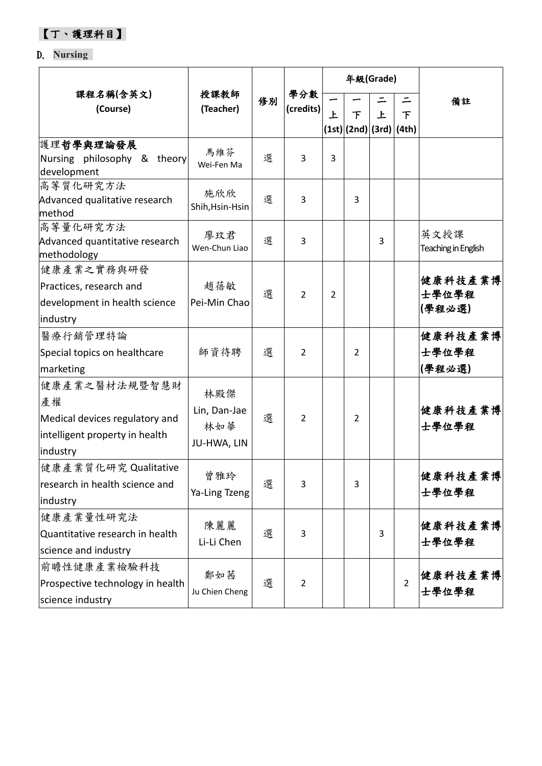【丁、護理科目】

### D. **Nursing**

|                                                                                                     |                                           |    |                  |   |                              | 年級(Grade) |                |                             |
|-----------------------------------------------------------------------------------------------------|-------------------------------------------|----|------------------|---|------------------------------|-----------|----------------|-----------------------------|
| 課程名稱(含英文)<br>(Course)                                                                               | 授課教師<br>(Teacher)                         | 修別 | 學分數<br>(credits) | 上 | 下<br>(1st) (2nd) (3rd) (4th) | 上         | 下              | 備註                          |
| 護理哲學與理論發展<br>Nursing philosophy & theory<br>development                                             | 馬維芬<br>Wei-Fen Ma                         | 選  | 3                | 3 |                              |           |                |                             |
| 高等質化研究方法<br>Advanced qualitative research<br>method                                                 | 施欣欣<br>Shih, Hsin-Hsin                    | 選  | 3                |   | 3                            |           |                |                             |
| 高等量化研究方法<br>Advanced quantitative research<br>methodology                                           | 廖玟君<br>Wen-Chun Liao                      | 選  | 3                |   |                              | 3         |                | 英文授課<br>Teaching in English |
| 健康產業之實務與研發<br>Practices, research and<br>development in health science<br>industry                  | 趙蓓敏<br>Pei-Min Chao                       | 選  | 2                | 2 |                              |           |                | 健康科技產業博<br>士學位學程<br>(學程必選)  |
| 醫療行銷管理特論<br>Special topics on healthcare<br>marketing                                               | 師資待聘                                      | 選  | $\overline{2}$   |   | 2                            |           |                | 健康科技產業博<br>士學位學程<br>(學程必選)  |
| 健康產業之醫材法規暨智慧財<br>產權<br>Medical devices regulatory and<br>intelligent property in health<br>industry | 林殿傑<br>Lin, Dan-Jae<br>林如華<br>JU-HWA, LIN | 選  | 2                |   | 2                            |           |                | 健康科技產業博<br>士學位學程            |
| 健康產業質化研究 Qualitative<br>research in health science and<br>industry                                  | 曾雅玲<br>Ya-Ling Tzeng                      | 選  | 3                |   | 3                            |           |                | 健康科技產業博<br>士學位學程            |
| 健康產業量性研究法<br>Quantitative research in health<br>science and industry                                | 陳麗麗<br>Li-Li Chen                         | 選  | 3                |   |                              | 3         |                | 健康科技產業博<br>士學位學程            |
| 前瞻性健康產業檢驗科技<br>Prospective technology in health<br>science industry                                 | 鄭如茜<br>Ju Chien Cheng                     | 選  | $\overline{2}$   |   |                              |           | $\overline{2}$ | 健康科技產業博<br>士學位學程            |